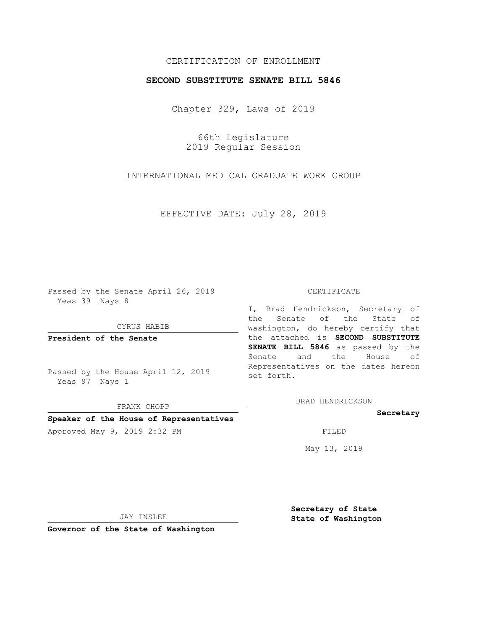# CERTIFICATION OF ENROLLMENT

## **SECOND SUBSTITUTE SENATE BILL 5846**

Chapter 329, Laws of 2019

66th Legislature 2019 Regular Session

INTERNATIONAL MEDICAL GRADUATE WORK GROUP

EFFECTIVE DATE: July 28, 2019

Passed by the Senate April 26, 2019 Yeas 39 Nays 8

CYRUS HABIB

**President of the Senate**

Passed by the House April 12, 2019 Yeas 97 Nays 1

FRANK CHOPP

### **Speaker of the House of Representatives**

Approved May 9, 2019 2:32 PM

#### CERTIFICATE

I, Brad Hendrickson, Secretary of the Senate of the State of Washington, do hereby certify that the attached is **SECOND SUBSTITUTE SENATE BILL 5846** as passed by the Senate and the House of Representatives on the dates hereon set forth.

BRAD HENDRICKSON

### **Secretary**

May 13, 2019

JAY INSLEE

**Governor of the State of Washington**

**Secretary of State State of Washington**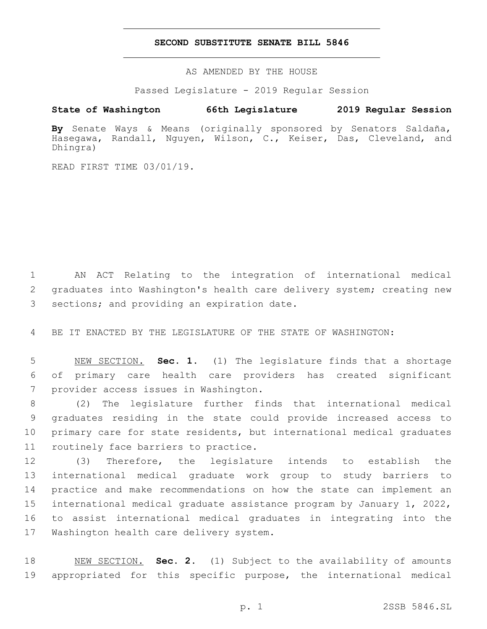## **SECOND SUBSTITUTE SENATE BILL 5846**

AS AMENDED BY THE HOUSE

Passed Legislature - 2019 Regular Session

# **State of Washington 66th Legislature 2019 Regular Session**

**By** Senate Ways & Means (originally sponsored by Senators Saldaña, Hasegawa, Randall, Nguyen, Wilson, C., Keiser, Das, Cleveland, and Dhingra)

READ FIRST TIME 03/01/19.

1 AN ACT Relating to the integration of international medical 2 graduates into Washington's health care delivery system; creating new 3 sections; and providing an expiration date.

4 BE IT ENACTED BY THE LEGISLATURE OF THE STATE OF WASHINGTON:

5 NEW SECTION. **Sec. 1.** (1) The legislature finds that a shortage 6 of primary care health care providers has created significant 7 provider access issues in Washington.

 (2) The legislature further finds that international medical graduates residing in the state could provide increased access to primary care for state residents, but international medical graduates 11 routinely face barriers to practice.

 (3) Therefore, the legislature intends to establish the international medical graduate work group to study barriers to practice and make recommendations on how the state can implement an international medical graduate assistance program by January 1, 2022, to assist international medical graduates in integrating into the 17 Washington health care delivery system.

18 NEW SECTION. **Sec. 2.** (1) Subject to the availability of amounts 19 appropriated for this specific purpose, the international medical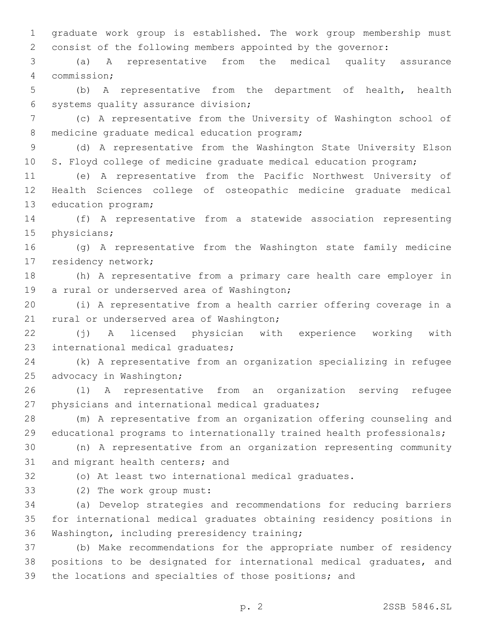graduate work group is established. The work group membership must consist of the following members appointed by the governor:

 (a) A representative from the medical quality assurance commission;4

 (b) A representative from the department of health, health 6 systems quality assurance division;

 (c) A representative from the University of Washington school of 8 medicine graduate medical education program;

 (d) A representative from the Washington State University Elson S. Floyd college of medicine graduate medical education program;

 (e) A representative from the Pacific Northwest University of Health Sciences college of osteopathic medicine graduate medical 13 education program;

 (f) A representative from a statewide association representing 15 physicians;

 (g) A representative from the Washington state family medicine 17 residency network;

 (h) A representative from a primary care health care employer in 19 a rural or underserved area of Washington;

 (i) A representative from a health carrier offering coverage in a 21 rural or underserved area of Washington;

 (j) A licensed physician with experience working with 23 international medical graduates;

 (k) A representative from an organization specializing in refugee 25 advocacy in Washington;

 (l) A representative from an organization serving refugee 27 physicians and international medical graduates;

 (m) A representative from an organization offering counseling and educational programs to internationally trained health professionals;

 (n) A representative from an organization representing community 31 and migrant health centers; and

(o) At least two international medical graduates.

(2) The work group must:33

 (a) Develop strategies and recommendations for reducing barriers for international medical graduates obtaining residency positions in 36 Washington, including preresidency training;

 (b) Make recommendations for the appropriate number of residency positions to be designated for international medical graduates, and the locations and specialties of those positions; and